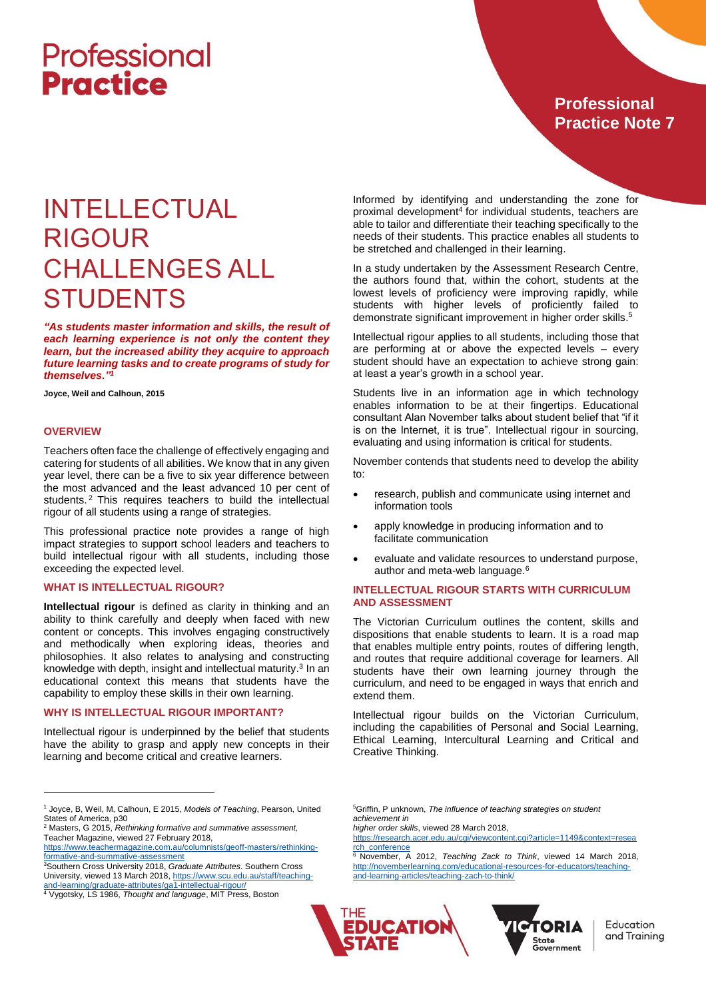### **Professional Practice Note 7**

### INTELLECTUAL RIGOUR CHALLENGES ALL **STUDENTS**

*"As students master information and skills, the result of each learning experience is not only the content they learn, but the increased ability they acquire to approach future learning tasks and to create programs of study for themselves."<sup>1</sup>*

**Joyce, Weil and Calhoun, 2015**

#### **OVERVIEW**

 $\overline{a}$ 

Teachers often face the challenge of effectively engaging and catering for students of all abilities. We know that in any given year level, there can be a five to six year difference between the most advanced and the least advanced 10 per cent of students.<sup>2</sup> This requires teachers to build the intellectual rigour of all students using a range of strategies.

This professional practice note provides a range of high impact strategies to support school leaders and teachers to build intellectual rigour with all students, including those exceeding the expected level.

#### **WHAT IS INTELLECTUAL RIGOUR?**

**Intellectual rigour** is defined as clarity in thinking and an ability to think carefully and deeply when faced with new content or concepts. This involves engaging constructively and methodically when exploring ideas, theories and philosophies. It also relates to analysing and constructing knowledge with depth, insight and intellectual maturity.<sup>3</sup> In an educational context this means that students have the capability to employ these skills in their own learning.

#### **WHY IS INTELLECTUAL RIGOUR IMPORTANT?**

Intellectual rigour is underpinned by the belief that students have the ability to grasp and apply new concepts in their learning and become critical and creative learners.

Informed by identifying and understanding the zone for proximal development<sup>4</sup> for individual students, teachers are able to tailor and differentiate their teaching specifically to the needs of their students. This practice enables all students to be stretched and challenged in their learning.

In a study undertaken by the Assessment Research Centre, the authors found that, within the cohort, students at the lowest levels of proficiency were improving rapidly, while students with higher levels of proficiently failed to demonstrate significant improvement in higher order skills. 5

Intellectual rigour applies to all students, including those that are performing at or above the expected levels – every student should have an expectation to achieve strong gain: at least a year's growth in a school year.

Students live in an information age in which technology enables information to be at their fingertips. Educational consultant Alan November talks about student belief that "if it is on the Internet, it is true". Intellectual rigour in sourcing, evaluating and using information is critical for students.

November contends that students need to develop the ability to:

- research, publish and communicate using internet and information tools
- apply knowledge in producing information and to facilitate communication
- evaluate and validate resources to understand purpose, author and meta-web language.<sup>6</sup>

#### **INTELLECTUAL RIGOUR STARTS WITH CURRICULUM AND ASSESSMENT**

The Victorian Curriculum outlines the content, skills and dispositions that enable students to learn. It is a road map that enables multiple entry points, routes of differing length, and routes that require additional coverage for learners. All students have their own learning journey through the curriculum, and need to be engaged in ways that enrich and extend them.

Intellectual rigour builds on the Victorian Curriculum, including the capabilities of Personal and Social Learning, Ethical Learning, Intercultural Learning and Critical and Creative Thinking.

[http://novemberlearning.com/educational-resources-for-educators/teaching](http://novemberlearning.com/educational-resources-for-educators/teaching-and-learning-articles/teaching-zach-to-think/)[and-learning-articles/teaching-zach-to-think/](http://novemberlearning.com/educational-resources-for-educators/teaching-and-learning-articles/teaching-zach-to-think/)





Education and Training

<sup>1</sup> Joyce, B, Weil, M, Calhoun, E 2015, *Models of Teaching*, Pearson, United States of America, p30

<sup>2</sup> Masters, G 2015, *Rethinking formative and summative assessment,*  Teacher Magazine, viewed 27 February 2018,

[https://www.teachermagazine.com.au/columnists/geoff-masters/rethinking](https://www.teachermagazine.com.au/columnists/geoff-masters/rethinking-formative-and-summative-assessment)[formative-and-summative-assessment](https://www.teachermagazine.com.au/columnists/geoff-masters/rethinking-formative-and-summative-assessment)

<sup>3</sup>Southern Cross University 2018, *Graduate Attributes*. Southern Cross University, viewed 13 March 2018, [https://www.scu.edu.au/staff/teaching-](https://www.scu.edu.au/staff/teaching-and-learning/graduate-attributes/ga1-intellectual-rigour/)

[and-learning/graduate-attributes/ga1-intellectual-rigour/](https://www.scu.edu.au/staff/teaching-and-learning/graduate-attributes/ga1-intellectual-rigour/) <sup>4</sup> Vygotsky, LS 1986, *Thought and language*, MIT Press, Boston

<sup>5</sup>Griffin, P unknown, *The influence of teaching strategies on student achievement in*

*higher order skills*, viewed 28 March 2018,

[https://research.acer.edu.au/cgi/viewcontent.cgi?article=1149&context=resea](https://research.acer.edu.au/cgi/viewcontent.cgi?article=1149&context=research_conference) [rch\\_conference](https://research.acer.edu.au/cgi/viewcontent.cgi?article=1149&context=research_conference) <sup>6</sup> November, A 2012, *Teaching Zack to Think*, viewed 14 March 2018,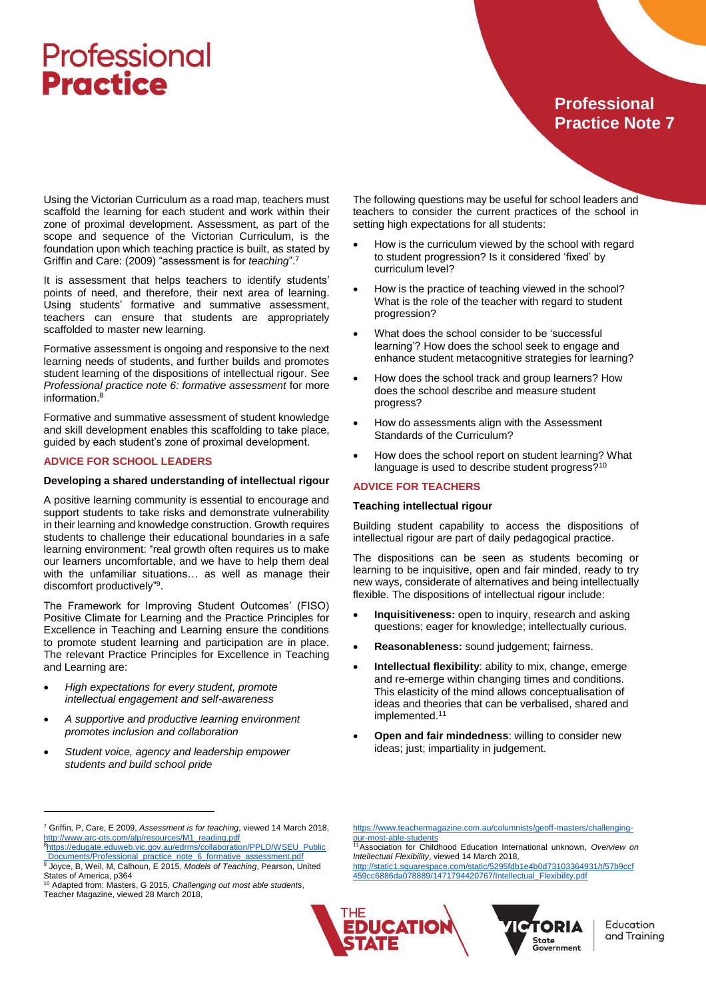### **Professional Practice Note 7**

Using the Victorian Curriculum as a road map, teachers must scaffold the learning for each student and work within their zone of proximal development. Assessment, as part of the scope and sequence of the Victorian Curriculum, is the foundation upon which teaching practice is built, as stated by Griffin and Care: (2009) "assessment is for *teaching*". 7

It is assessment that helps teachers to identify students' points of need, and therefore, their next area of learning. Using students' formative and summative assessment, teachers can ensure that students are appropriately scaffolded to master new learning.

Formative assessment is ongoing and responsive to the next learning needs of students, and further builds and promotes student learning of the dispositions of intellectual rigour. See *Professional practice note 6: formative assessment* for more information.<sup>8</sup>

Formative and summative assessment of student knowledge and skill development enables this scaffolding to take place, guided by each student's zone of proximal development.

#### **ADVICE FOR SCHOOL LEADERS**

#### **Developing a shared understanding of intellectual rigour**

A positive learning community is essential to encourage and support students to take risks and demonstrate vulnerability in their learning and knowledge construction. Growth requires students to challenge their educational boundaries in a safe learning environment: "real growth often requires us to make our learners uncomfortable, and we have to help them deal with the unfamiliar situations… as well as manage their discomfort productively"<sup>9</sup>.

The Framework for Improving Student Outcomes' (FISO) Positive Climate for Learning and the Practice Principles for Excellence in Teaching and Learning ensure the conditions to promote student learning and participation are in place. The relevant Practice Principles for Excellence in Teaching and Learning are:

- *High expectations for every student, promote intellectual engagement and self-awareness*
- *A supportive and productive learning environment promotes inclusion and collaboration*
- *Student voice, agency and leadership empower students and build school pride*

 $\overline{a}$ 

The following questions may be useful for school leaders and teachers to consider the current practices of the school in setting high expectations for all students:

- How is the curriculum viewed by the school with regard to student progression? Is it considered 'fixed' by curriculum level?
- How is the practice of teaching viewed in the school? What is the role of the teacher with regard to student progression?
- What does the school consider to be 'successful learning'? How does the school seek to engage and enhance student metacognitive strategies for learning?
- How does the school track and group learners? How does the school describe and measure student progress?
- How do assessments align with the Assessment Standards of the Curriculum?
- How does the school report on student learning? What language is used to describe student progress?<sup>10</sup>

#### **ADVICE FOR TEACHERS**

#### **Teaching intellectual rigour**

Building student capability to access the dispositions of intellectual rigour are part of daily pedagogical practice.

The dispositions can be seen as students becoming or learning to be inquisitive, open and fair minded, ready to try new ways, considerate of alternatives and being intellectually flexible. The dispositions of intellectual rigour include:

- **Inquisitiveness:** open to inquiry, research and asking questions; eager for knowledge; intellectually curious.
- **Reasonableness:** sound judgement; fairness.
- **Intellectual flexibility**: ability to mix, change, emerge and re-emerge within changing times and conditions. This elasticity of the mind allows conceptualisation of ideas and theories that can be verbalised, shared and implemented.<sup>11</sup>
- **Open and fair mindedness**: willing to consider new ideas; just; impartiality in judgement.

<sup>8</sup>[https://edugate.eduweb.vic.gov.au/edrms/collaboration/PPLD/WSEU\\_Public](https://edugate.eduweb.vic.gov.au/edrms/collaboration/PPLD/WSEU_Public_Documents/Professional_practice_note_6_formative_assessment.pdf) [\\_Documents/Professional\\_practice\\_note\\_6\\_formative\\_assessment.pdf](https://edugate.eduweb.vic.gov.au/edrms/collaboration/PPLD/WSEU_Public_Documents/Professional_practice_note_6_formative_assessment.pdf)

[https://www.teachermagazine.com.au/columnists/geoff-masters/challenging](https://www.teachermagazine.com.au/columnists/geoff-masters/challenging-our-most-able-students)[our-most-able-students](https://www.teachermagazine.com.au/columnists/geoff-masters/challenging-our-most-able-students)

<sup>11</sup>Association for Childhood Education International unknown, *Overview on Intellectual Flexibility*, viewed 14 March 2018, [http://static1.squarespace.com/static/5295fdb1e4b0d73103364931/t/57b9ccf](http://static1.squarespace.com/static/5295fdb1e4b0d73103364931/t/57b9ccf459cc6886da078889/1471794420767/Intellectual_Flexibility.pdf)

[459cc6886da078889/1471794420767/Intellectual\\_Flexibility.pdf](http://static1.squarespace.com/static/5295fdb1e4b0d73103364931/t/57b9ccf459cc6886da078889/1471794420767/Intellectual_Flexibility.pdf)





Education and Training

<sup>7</sup> Griffin, P, Care, E 2009, *Assessment is for teaching*, viewed 14 March 2018, [http://www.arc-ots.com/alp/resources/M1\\_reading.pdf](http://www.arc-ots.com/alp/resources/M1_reading.pdf)

<sup>9</sup> Joyce, B, Weil, M, Calhoun, E 2015, *Models of Teaching*, Pearson, United States of America, p364 <sup>10</sup> Adapted from: Masters, G 2015, *Challenging out most able students*,

Teacher Magazine, viewed 28 March 2018,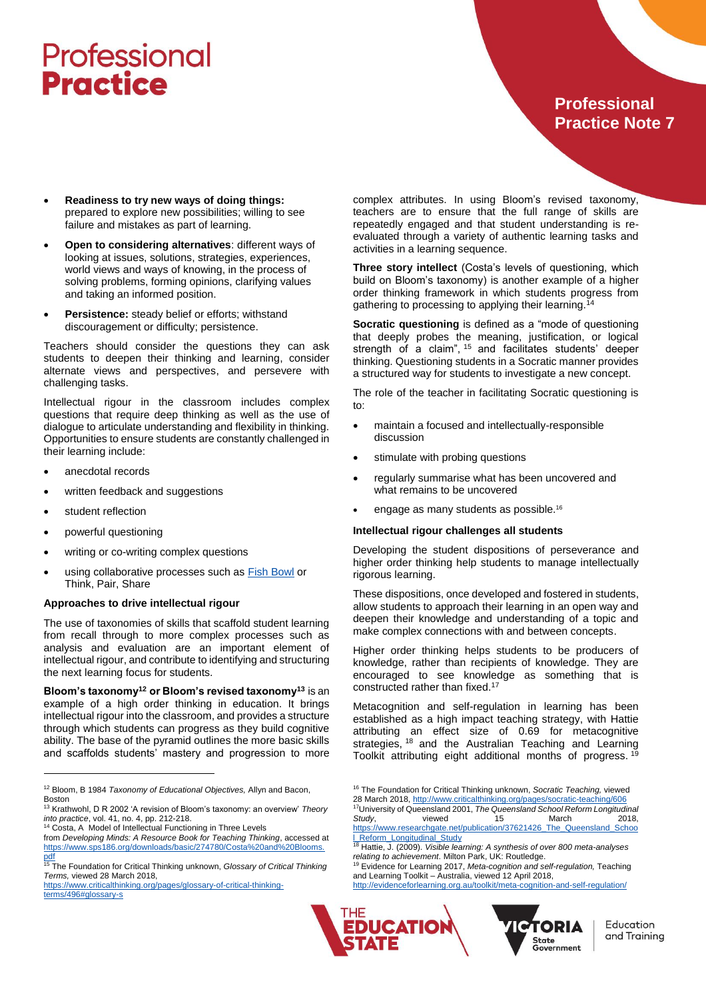### **Professional Practice Note 7**

- **Readiness to try new ways of doing things:** prepared to explore new possibilities; willing to see failure and mistakes as part of learning.
- **Open to considering alternatives**: different ways of looking at issues, solutions, strategies, experiences, world views and ways of knowing, in the process of solving problems, forming opinions, clarifying values and taking an informed position.
- **Persistence:** steady belief or efforts; withstand discouragement or difficulty; persistence.

Teachers should consider the questions they can ask students to deepen their thinking and learning, consider alternate views and perspectives, and persevere with challenging tasks.

Intellectual rigour in the classroom includes complex questions that require deep thinking as well as the use of dialogue to articulate understanding and flexibility in thinking. Opportunities to ensure students are constantly challenged in their learning include:

- anecdotal records
- written feedback and suggestions
- student reflection
- powerful questioning
- writing or co-writing complex questions
- using collaborative processes such as **Fish Bowl** or Think, Pair, Share

#### **Approaches to drive intellectual rigour**

The use of taxonomies of skills that scaffold student learning from recall through to more complex processes such as analysis and evaluation are an important element of intellectual rigour, and contribute to identifying and structuring the next learning focus for students.

**Bloom's taxonomy<sup>12</sup> or Bloom's revised taxonomy<sup>13</sup>** is an example of a high order thinking in education. It brings intellectual rigour into the classroom, and provides a structure through which students can progress as they build cognitive ability. The base of the pyramid outlines the more basic skills and scaffolds students' mastery and progression to more

[terms/496#glossary-s](https://www.criticalthinking.org/pages/glossary-of-critical-thinking-terms/496#glossary-s)

 $\overline{a}$ 

complex attributes. In using Bloom's revised taxonomy, teachers are to ensure that the full range of skills are repeatedly engaged and that student understanding is reevaluated through a variety of authentic learning tasks and activities in a learning sequence.

**Three story intellect** (Costa's levels of questioning, which build on Bloom's taxonomy) is another example of a higher order thinking framework in which students progress from gathering to processing to applying their learning.<sup>14</sup>

**Socratic questioning** is defined as a "mode of questioning that deeply probes the meaning, justification, or logical strength of a claim", <sup>15</sup> and facilitates students' deeper thinking. Questioning students in a Socratic manner provides a structured way for students to investigate a new concept.

The role of the teacher in facilitating Socratic questioning is to:

- maintain a focused and intellectually-responsible discussion
- stimulate with probing questions
- regularly summarise what has been uncovered and what remains to be uncovered
- engage as many students as possible.<sup>16</sup>

#### **Intellectual rigour challenges all students**

Developing the student dispositions of perseverance and higher order thinking help students to manage intellectually rigorous learning.

These dispositions, once developed and fostered in students, allow students to approach their learning in an open way and deepen their knowledge and understanding of a topic and make complex connections with and between concepts.

Higher order thinking helps students to be producers of knowledge, rather than recipients of knowledge. They are encouraged to see knowledge as something that is constructed rather than fixed.<sup>17</sup>

Metacognition and self-regulation in learning has been established as a high impact teaching strategy, with Hattie attributing an effect size of 0.69 for metacognitive strategies, <sup>18</sup> and the Australian Teaching and Learning Toolkit attributing eight additional months of progress. <sup>19</sup>

<sup>16</sup> The Foundation for Critical Thinking unknown, *Socratic Teaching,* viewed 28 March 2018[, http://www.criticalthinking.org/pages/socratic-teaching/606](http://www.criticalthinking.org/pages/socratic-teaching/606)

<sup>17</sup>University of Queensland 2001, *The Queensland School Reform Longitudinal Study*, viewed 15 March 2018, [https://www.researchgate.net/publication/37621426\\_The\\_Queensland\\_Schoo](https://www.researchgate.net/publication/37621426_The_Queensland_School_Reform_Longitudinal_Study) **Reform\_Longitudinal\_Study**<br>18 Hattie L. (2000), 17 T

<http://evidenceforlearning.org.au/toolkit/meta-cognition-and-self-regulation/>





<sup>12</sup> Bloom, B 1984 *Taxonomy of Educational Objectives,* Allyn and Bacon, Boston

<sup>13</sup> Krathwohl, D R 2002 'A revision of Bloom's taxonomy: an overview' *Theory into practice*, vol. 41, no. 4, pp. 212-218.

<sup>14</sup> Costa, A Model of Intellectual Functioning in Three Levels from *Developing Minds: A Resource Book for Teaching Thinking*, accessed at

[https://www.sps186.org/downloads/basic/274780/Costa%20and%20Blooms.](https://www.sps186.org/downloads/basic/274780/Costa%20and%20Blooms.pdf) [pdf](https://www.sps186.org/downloads/basic/274780/Costa%20and%20Blooms.pdf) <sup>15</sup> The Foundation for Critical Thinking unknown, *Glossary of Critical Thinking* 

*Terms,* viewed 28 March 2018,

[https://www.criticalthinking.org/pages/glossary-of-critical-thinking-](https://www.criticalthinking.org/pages/glossary-of-critical-thinking-terms/496#glossary-s)

<sup>18</sup> Hattie, J. (2009). *Visible learning: A synthesis of over 800 meta-analyses relating to achievement*. Milton Park, UK: Routledge.

<sup>19</sup> Evidence for Learning 2017, *Meta-cognition and self-regulation,* Teaching and Learning Toolkit – Australia, viewed 12 April 2018,